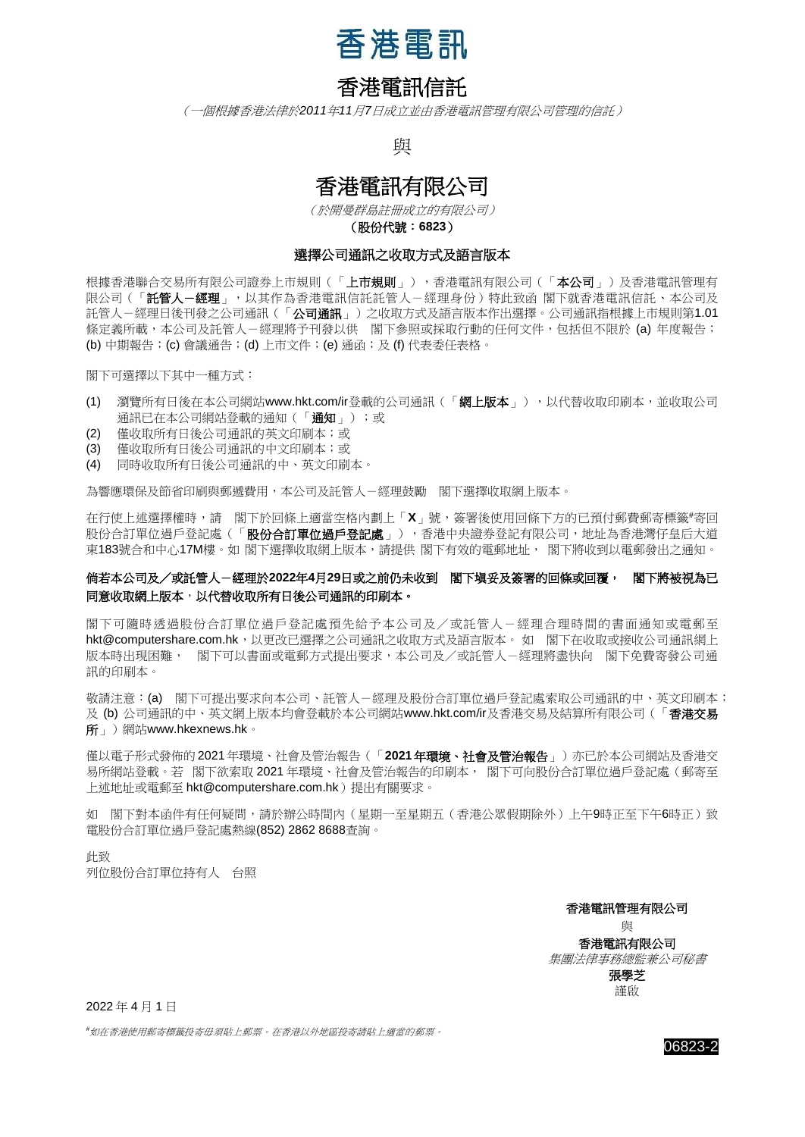

## 香港電訊信託

(一個根據香港法律於*2011*年*11*月*7*日成立並由香港電訊管理有限公司管理的信託)

與

## 香港電訊有限公司

(於開曼群島註冊成立的有限公司) (股份代號:**6823**)

## 選擇公司通訊之收取方式及語言版本

根據香港聯合交易所有限公司證券上市規則(「**上市規則**」),香港電訊有限公司(「**本公司** 」)及香港電訊管理有 限公司(「**託管人-經理**」,以其作為香港電訊信託託管人-經理身份)特此致函 閣下就香港電訊信託、本公司及 託管人-經理日後刊發之公司通訊(「**公司通訊**」)之收取方式及語言版本作出選擇。公司通訊指根據上市規則第1.01 條定義所載,本公司及託管人-經理將予刊發以供 閣下參照或採取行動的任何文件,包括但不限於 (a) 年度報告; (b) 中期報告;(c) 會議通告;(d) 上市文件;(e) 通函;及 (f) 代表委任表格。

閣下可選擇以下其中一種方式:

- (1) 瀏覽所有日後在本公司網站www.hkt.com/ir登載的公司通訊(「網上版本」),以代替收取印刷本,並收取公司 通訊已在本公司網站登載的通知(「通知」);或
- (2) 僅收取所有日後公司通訊的英文印刷本;或
- (3) 僅收取所有日後公司通訊的中文印刷本;或
- (4) 同時收取所有日後公司通訊的中、英文印刷本。

為響應環保及節省印刷與郵遞費用,本公司及託管人-經理鼓勵 閣下選擇收取網上版本。

在行使上述選擇權時,請 閣下於回條上適當空格內劃上「X」號,簽署後使用回條下方的已預付郵費郵寄標籤#寄回 股份合訂單位過戶登記處(「**股份合訂單位過戶登記處**」),香港中央證券登記有限公司,地址為香港灣仔皇后大道 東183號合和中心17M樓。如 閣下選擇收取網上版本,請提供 閣下有效的電郵地址, 閣下將收到以電郵發出之通知。

## 倘若本公司及/或託管人-經理於**2022**年**4**月**29**日或之前仍未收到 閣下塡妥及簽署的回條或回覆, 閣下將被視為已 同意收取網上版本,以代替收取所有日後公司通訊的印刷本。

閣下可隨時透過股份合訂單位過戶登記處預先給予本公司及/或託管人-經理合理時間的書面通知或電郵至 [hkt@computershare.com.hk](mailto:hkt@computershare.com.hk),以更改已選擇之公司通訊之收取方式及語言版本。 如 閣下在收取或接收公司通訊網上 版本時出現困難, 閣下可以書面或電郵方式提出要求,本公司及/或託管人-經理將盡快向 閣下免費寄發公司通 訊的印刷本。

敬請注意:(a) 閣下可提出要求向本公司、託管人-經理及股份合訂單位過戶登記處索取公司通訊的中、英文印刷本; 及 (b) 公司通訊的中、英文網上版本均會登載於本公司網站www.hkt.com/ir及香港交易及結算所有限公司(「香港交易 所」)網站www.hkexnews.hk。

僅以電子形式發佈的 2021年環境、社會及管治報告(「**2021**年環境、社會及管治報告」)亦已於本公司網站及香港交 易所網站登載。若 閣下欲索取 2021 年環境、社會及管治報告的印刷本, 閣下可向股份合訂單位過戶登記處(郵寄至 上述地址或電郵至 hkt@computershare.com.hk)提出有關要求。

如 閣下對本函件有任何疑問,請於辦公時間內(星期一至星期五(香港公眾假期除外)上午9時正至下午6時正)致 電股份合訂單位過戶登記處熱線(852) 2862 8688查詢。

此致 列位股份合訂單位持有人 台照

香港電訊管理有限公司

與

香港電訊有限公司 集團法律事務總監兼公司秘書 張學芝 謹啟

2022 年 4 月 1 日

*#*如在香港使用郵寄標籤投寄毋須貼上郵票。在香港以外地區投寄請貼上適當的郵票。

06823-2